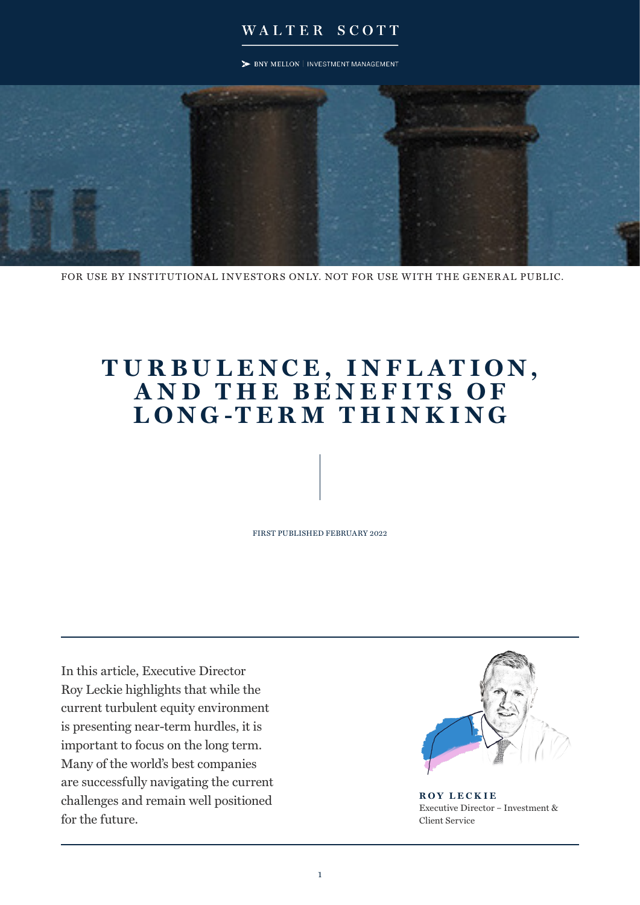### WALTER SCOTT

> BNY MELLON | INVESTMENT MANAGEMENT



FOR USE BY INSTITUTIONAL INVESTORS ONLY. NOT FOR USE WITH THE GENERAL PUBLIC.

# **T U R B U L E N C E , I N F L A T I O N , A N D T H E B E N E F I T S O F LONG -TER M THINKING**

FIRST PUBLISHED FEBRUARY 2022

In this article, Executive Director Roy Leckie highlights that while the current turbulent equity environment is presenting near-term hurdles, it is important to focus on the long term. Many of the world's best companies are successfully navigating the current challenges and remain well positioned for the future.



**ROY LECKIE** Executive Director – Investment & Client Service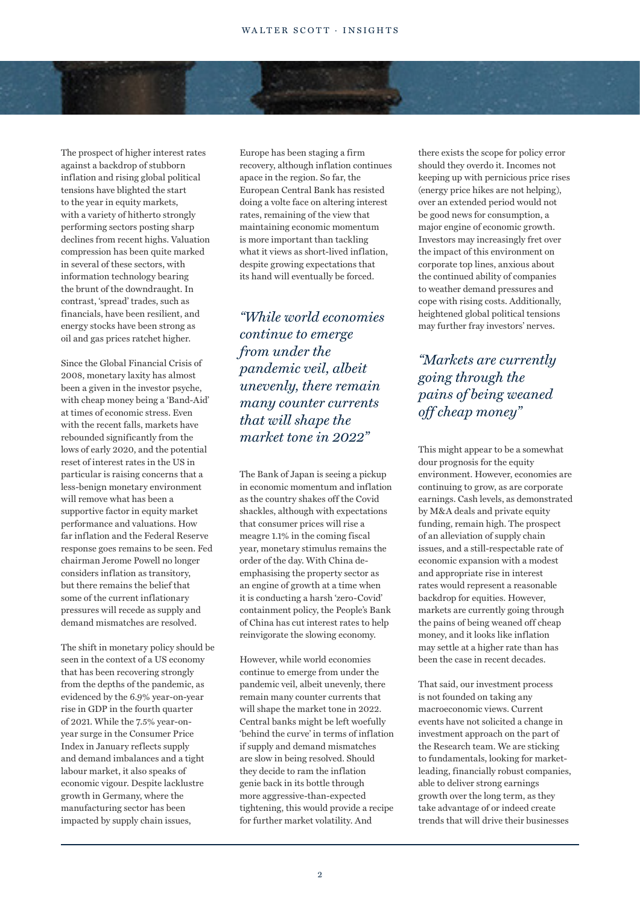The prospect of higher interest rates against a backdrop of stubborn inflation and rising global political tensions have blighted the start to the year in equity markets, with a variety of hitherto strongly performing sectors posting sharp declines from recent highs. Valuation compression has been quite marked in several of these sectors, with information technology bearing the brunt of the downdraught. In contrast, 'spread' trades, such as financials, have been resilient, and energy stocks have been strong as oil and gas prices ratchet higher.

Since the Global Financial Crisis of 2008, monetary laxity has almost been a given in the investor psyche, with cheap money being a 'Band-Aid' at times of economic stress. Even with the recent falls, markets have rebounded significantly from the lows of early 2020, and the potential reset of interest rates in the US in particular is raising concerns that a less-benign monetary environment will remove what has been a supportive factor in equity market performance and valuations. How far inflation and the Federal Reserve response goes remains to be seen. Fed chairman Jerome Powell no longer considers inflation as transitory, but there remains the belief that some of the current inflationary pressures will recede as supply and demand mismatches are resolved.

The shift in monetary policy should be seen in the context of a US economy that has been recovering strongly from the depths of the pandemic, as evidenced by the 6.9% year-on-year rise in GDP in the fourth quarter of 2021. While the 7.5% year-onyear surge in the Consumer Price Index in January reflects supply and demand imbalances and a tight labour market, it also speaks of economic vigour. Despite lacklustre growth in Germany, where the manufacturing sector has been impacted by supply chain issues,

Europe has been staging a firm recovery, although inflation continues apace in the region. So far, the European Central Bank has resisted doing a volte face on altering interest rates, remaining of the view that maintaining economic momentum is more important than tackling what it views as short-lived inflation, despite growing expectations that its hand will eventually be forced.

*"While world economies continue to emerge from under the pandemic veil, albeit unevenly, there remain many counter currents that will shape the market tone in 2022"*

The Bank of Japan is seeing a pickup in economic momentum and inflation as the country shakes off the Covid shackles, although with expectations that consumer prices will rise a meagre 1.1% in the coming fiscal year, monetary stimulus remains the order of the day. With China deemphasising the property sector as an engine of growth at a time when it is conducting a harsh 'zero-Covid' containment policy, the People's Bank of China has cut interest rates to help reinvigorate the slowing economy.

However, while world economies continue to emerge from under the pandemic veil, albeit unevenly, there remain many counter currents that will shape the market tone in 2022. Central banks might be left woefully 'behind the curve' in terms of inflation if supply and demand mismatches are slow in being resolved. Should they decide to ram the inflation genie back in its bottle through more aggressive-than-expected tightening, this would provide a recipe for further market volatility. And

there exists the scope for policy error should they overdo it. Incomes not keeping up with pernicious price rises (energy price hikes are not helping), over an extended period would not be good news for consumption, a major engine of economic growth. Investors may increasingly fret over the impact of this environment on corporate top lines, anxious about the continued ability of companies to weather demand pressures and cope with rising costs. Additionally, heightened global political tensions may further fray investors' nerves.

## *"Markets are currently going through the pains of being weaned off cheap money"*

This might appear to be a somewhat dour prognosis for the equity environment. However, economies are continuing to grow, as are corporate earnings. Cash levels, as demonstrated by M&A deals and private equity funding, remain high. The prospect of an alleviation of supply chain issues, and a still-respectable rate of economic expansion with a modest and appropriate rise in interest rates would represent a reasonable backdrop for equities. However, markets are currently going through the pains of being weaned off cheap money, and it looks like inflation may settle at a higher rate than has been the case in recent decades.

That said, our investment process is not founded on taking any macroeconomic views. Current events have not solicited a change in investment approach on the part of the Research team. We are sticking to fundamentals, looking for marketleading, financially robust companies, able to deliver strong earnings growth over the long term, as they take advantage of or indeed create trends that will drive their businesses